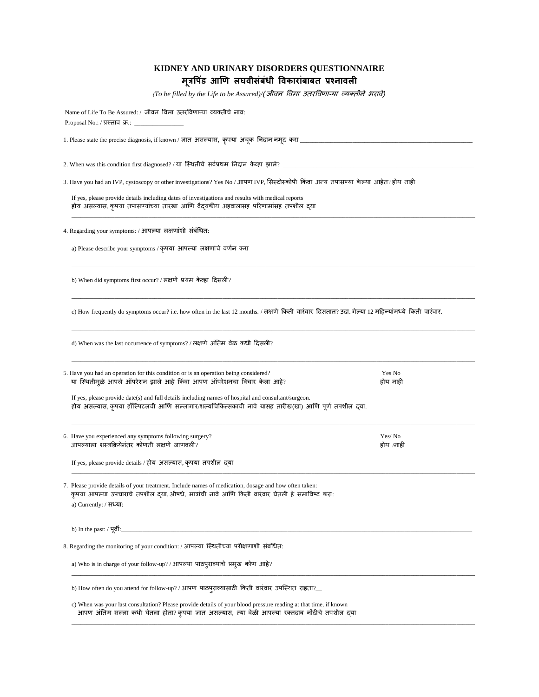## **KIDNEY AND URINARY DISORDERS QUESTIONNAIRE मूत्रप डिं आणि लघवीसिंबिंधी पवकारािंबाबत प्रश्नावली**

*(To be filled by the Life to be Assured)/(* जीवन विमा उतरविणाऱ्या व्यक्तीने भरावे)

| Proposal No.: / प्रस्ताव क्र.: ______________                                                                                                                                                                                   |  |  |  |  |  |
|---------------------------------------------------------------------------------------------------------------------------------------------------------------------------------------------------------------------------------|--|--|--|--|--|
|                                                                                                                                                                                                                                 |  |  |  |  |  |
| 2. When was this condition first diagnosed? / या स्थितीचे सर्वप्रथम निदान केव्हा झाले? _                                                                                                                                        |  |  |  |  |  |
| 3. Have you had an IVP, cystoscopy or other investigations? Yes No / आपण IVP, सिस्टोस्कोपी किंवा अन्य तपासण्या केल्या आहेत? होय नाही                                                                                            |  |  |  |  |  |
| If yes, please provide details including dates of investigations and results with medical reports<br>होय असल्यास, कृपया तपासण्यांच्या तारखा आणि वैदयकीय अहवालासह परिणामांसह तपशील दया                                           |  |  |  |  |  |
| 4. Regarding your symptoms: / आपल्या लक्षणांशी संबंधित:                                                                                                                                                                         |  |  |  |  |  |
| a) Please describe your symptoms / कृपया आपल्या लक्षणांचे वर्णन करा                                                                                                                                                             |  |  |  |  |  |
| b) When did symptoms first occur? / लक्षणे प्रथम केव्हा दिसली?                                                                                                                                                                  |  |  |  |  |  |
| c) How frequently do symptoms occur? i.e. how often in the last 12 months. / लक्षणे किती वारंवार दिसतात? उदा. गेल्या 12 महिल्यांमध्ये किती वारंवार.                                                                             |  |  |  |  |  |
| d) When was the last occurrence of symptoms? / लक्षणे अंतिम वेळ कधी दिसली?                                                                                                                                                      |  |  |  |  |  |
| 5. Have you had an operation for this condition or is an operation being considered?<br>Yes No<br>या स्थितीमुळे आपले ऑपरेशन झाले आहे किंवा आपण ऑपरेशनचा विचार केला आहे?<br>होय नाही                                             |  |  |  |  |  |
| If yes, please provide date(s) and full details including names of hospital and consultant/surgeon.<br>होय असल्यास, कृपया हॉस्पिटलची आणि सल्लागार/शल्यचिकित्सकाची नावे यासह तारीख(खा) आणि पूर्ण तपशील द्या.                     |  |  |  |  |  |
| Yes/No<br>6. Have you experienced any symptoms following surgery?<br>आपल्याला शस्त्रक्रियेनंतर कोणती लक्षणे जाणवली?<br>होय /नाही                                                                                                |  |  |  |  |  |
| If yes, please provide details / होय असल्यास, कृपया तपशील द्या                                                                                                                                                                  |  |  |  |  |  |
| 7. Please provide details of your treatment. Include names of medication, dosage and how often taken:<br>कृपया आपल्या उपचाराचे तपशील दया औषधे, मात्रांची नावे आणि किती वारंवार घेतली हे समाविष्ट करा:<br>a) Currently: / सध्या: |  |  |  |  |  |
| b) In the past: / पूर्वी:__                                                                                                                                                                                                     |  |  |  |  |  |
| 8. Regarding the monitoring of your condition: / आपल्या स्थितीच्या परीक्षणाशी संबंधित:                                                                                                                                          |  |  |  |  |  |
| a) Who is in charge of your follow-up? / आपल्या पाठपुराव्याचे प्रमुख कोण आहे?                                                                                                                                                   |  |  |  |  |  |
| b) How often do you attend for follow-up? / आपण पाठपुराव्यासाठी किती वारंवार उपस्थित राहता?                                                                                                                                     |  |  |  |  |  |
| c) When was your last consultation? Please provide details of your blood pressure reading at that time, if known<br>आपण अंतिम सल्ला कधी घेतला होता? कृपया ज्ञात असल्यास, त्या वेळी आपल्या रक्तदाब नोंदीचे तपशील द्या            |  |  |  |  |  |

\_\_\_\_\_\_\_\_\_\_\_\_\_\_\_\_\_\_\_\_\_\_\_\_\_\_\_\_\_\_\_\_\_\_\_\_\_\_\_\_\_\_\_\_\_\_\_\_\_\_\_\_\_\_\_\_\_\_\_\_\_\_\_\_\_\_\_\_\_\_\_\_\_\_\_\_\_\_\_\_\_\_\_\_\_\_\_\_\_\_\_\_\_\_\_\_\_\_\_\_\_\_\_\_\_\_\_\_\_\_\_\_\_\_\_\_\_\_\_\_\_\_\_\_\_\_\_\_\_\_\_